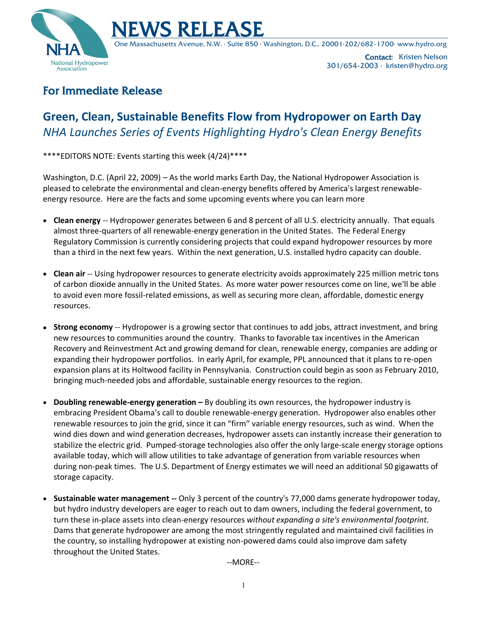



One Massachusetts Avenue, N.W. ∙ Suite 850 ∙ Washington, D.C., 20001∙202/682-1700∙ www.hydro.org

Contact: Kristen Nelson 301/654-2003 ∙ kristen@hydro.org

## For Immediate Release

# **Green, Clean, Sustainable Benefits Flow from Hydropower on Earth Day** *NHA Launches Series of Events Highlighting Hydro's Clean Energy Benefits*

\*\*\*\*EDITORS NOTE: Events starting this week (4/24)\*\*\*\*

Washington, D.C. (April 22, 2009) – As the world marks Earth Day, the National Hydropower Association is pleased to celebrate the environmental and clean-energy benefits offered by America's largest renewableenergy resource. Here are the facts and some upcoming events where you can learn more

- **Clean energy** -- Hydropower generates between 6 and 8 percent of all U.S. electricity annually. That equals almost three-quarters of all renewable-energy generation in the United States. The Federal Energy Regulatory Commission is currently considering projects that could expand hydropower resources by more than a third in the next few years. Within the next generation, U.S. installed hydro capacity can double.
- **Clean air** -- Using hydropower resources to generate electricity avoids approximately 225 million metric tons of carbon dioxide annually in the United States. As more water power resources come on line, we'll be able to avoid even more fossil-related emissions, as well as securing more clean, affordable, domestic energy resources.
- **Strong economy** -- Hydropower is a growing sector that continues to add jobs, attract investment, and bring new resources to communities around the country. Thanks to favorable tax incentives in the American Recovery and Reinvestment Act and growing demand for clean, renewable energy, companies are adding or expanding their hydropower portfolios. In early April, for example, PPL announced that it plans to re-open expansion plans at its Holtwood facility in Pennsylvania. Construction could begin as soon as February 2010, bringing much-needed jobs and affordable, sustainable energy resources to the region.
- **Doubling renewable-energy generation –** By doubling its own resources, the hydropower industry is embracing President Obama's call to double renewable-energy generation. Hydropower also enables other renewable resources to join the grid, since it can "firm" variable energy resources, such as wind. When the wind dies down and wind generation decreases, hydropower assets can instantly increase their generation to stabilize the electric grid. Pumped-storage technologies also offer the only large-scale energy storage options available today, which will allow utilities to take advantage of generation from variable resources when during non-peak times. The U.S. Department of Energy estimates we will need an additional 50 gigawatts of storage capacity.
- **Sustainable water management --** Only 3 percent of the country's 77,000 dams generate hydropower today, but hydro industry developers are eager to reach out to dam owners, including the federal government, to turn these in-place assets into clean-energy resources *without expanding a site's environmental footprint*. Dams that generate hydropower are among the most stringently regulated and maintained civil facilities in the country, so installing hydropower at existing non-powered dams could also improve dam safety throughout the United States.

--MORE--